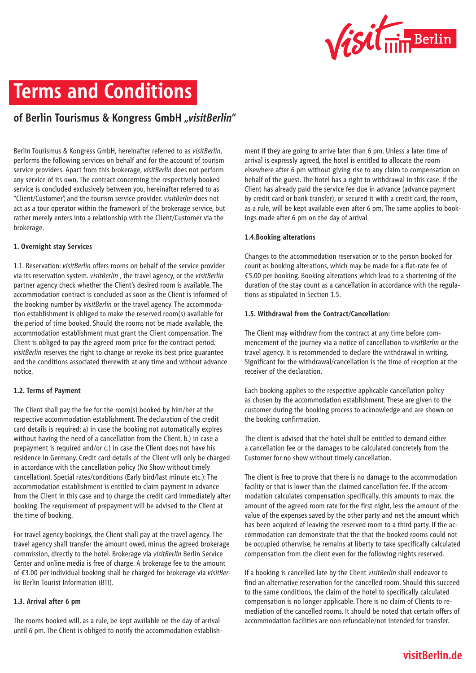

# **Terms and Conditions**

# **of Berlin Tourismus & Kongress GmbH "***visitBerlin***"**

Berlin Tourismus & Kongress GmbH, hereinafter referred to as *visitBerlin*, performs the following services on behalf and for the account of tourism service providers. Apart from this brokerage, *visitBerlin* does not perform any service of its own. The contract concerning the respectively booked service is concluded exclusively between you, hereinafter referred to as "Client/Customer", and the tourism service provider. *visitBerlin* does not act as a tour operator within the framework of the brokerage service, but rather merely enters into a relationship with the Client/Customer via the brokerage.

#### **1. Overnight stay Services**

1.1. Reservation: *visitBerlin* offers rooms on behalf of the service provider via its reservation system. *visitBerlin* , the travel agency, or the *visitBerlin* partner agency check whether the Client's desired room is available. The accommodation contract is concluded as soon as the Client is informed of the booking number by *visitBerlin* or the travel agency. The accommodation establishment is obliged to make the reserved room(s) available for the period of time booked. Should the rooms not be made available, the accommodation establishment must grant the Client compensation. The Client is obliged to pay the agreed room price for the contract period. *visitBerlin* reserves the right to change or revoke its best price guarantee and the conditions associated therewith at any time and without advance notice.

#### **1.2. Terms of Payment**

The Client shall pay the fee for the room(s) booked by him/her at the respective accommodation establishment. The declaration of the credit card details is required: a) in case the booking not automatically expires without having the need of a cancellation from the Client, b.) in case a prepayment is required and/or c.) in case the Client does not have his residence in Germany. Credit card details of the Client will only be charged in accordance with the cancellation policy (No Show without timely cancellation). Special rates/conditions (Early bird/last minute etc.): The accommodation establishment is entitled to claim payment in advance from the Client in this case and to charge the credit card immediately after booking. The requirement of prepayment will be advised to the Client at the time of booking.

For travel agency bookings, the Client shall pay at the travel agency. The travel agency shall transfer the amount owed, minus the agreed brokerage commission, directly to the hotel. Brokerage via *visitBerlin* Berlin Service Center and online media is free of charge. A brokerage fee to the amount of €3.00 per individual booking shall be charged for brokerage via *visitBerlin* Berlin Tourist Information (BTI).

# **1.3. Arrival after 6 pm**

The rooms booked will, as a rule, be kept available on the day of arrival until 6 pm. The Client is obliged to notify the accommodation establishment if they are going to arrive later than 6 pm. Unless a later time of arrival is expressly agreed, the hotel is entitled to allocate the room elsewhere after 6 pm without giving rise to any claim to compensation on behalf of the guest. The hotel has a right to withdrawal in this case. If the Client has already paid the service fee due in advance (advance payment by credit card or bank transfer), or secured it with a credit card, the room, as a rule, will be kept available even after 6 pm. The same applies to bookings made after 6 pm on the day of arrival.

#### **1.4.Booking alterations**

Changes to the accommodation reservation or to the person booked for count as booking alterations, which may be made for a flat-rate fee of €5.00 per booking. Booking alterations which lead to a shortening of the duration of the stay count as a cancellation in accordance with the regulations as stipulated in Section 1.5.

#### **1.5. Withdrawal from the Contract/Cancellation:**

The Client may withdraw from the contract at any time before commencement of the journey via a notice of cancellation to *visitBerlin* or the travel agency. It is recommended to declare the withdrawal in writing. Significant for the withdrawal/cancellation is the time of reception at the receiver of the declaration.

Each booking applies to the respective applicable cancellation policy as chosen by the accommodation establishment. These are given to the customer during the booking process to acknowledge and are shown on the booking confirmation.

The client is advised that the hotel shall be entitled to demand either a cancellation fee or the damages to be calculated concretely from the Customer for no show without timely cancellation.

The client is free to prove that there is no damage to the accommodation facility or that is lower than the claimed cancellation fee. If the accommodation calculates compensation specifically, this amounts to max. the amount of the agreed room rate for the first night, less the amount of the value of the expenses saved by the other party and net the amount which has been acquired of leaving the reserved room to a third party. If the accommodation can demonstrate that the that the booked rooms could not be occupied otherwise, he remains at liberty to take specifically calculated compensation from the client even for the following nights reserved.

If a booking is cancelled late by the Client *visitBerlin* shall endeavor to find an alternative reservation for the cancelled room. Should this succeed to the same conditions, the claim of the hotel to specifically calculated compensation is no longer applicable. There is no claim of Clients to remediation of the cancelled rooms. It should be noted that certain offers of accommodation facilities are non refundable/not intended for transfer.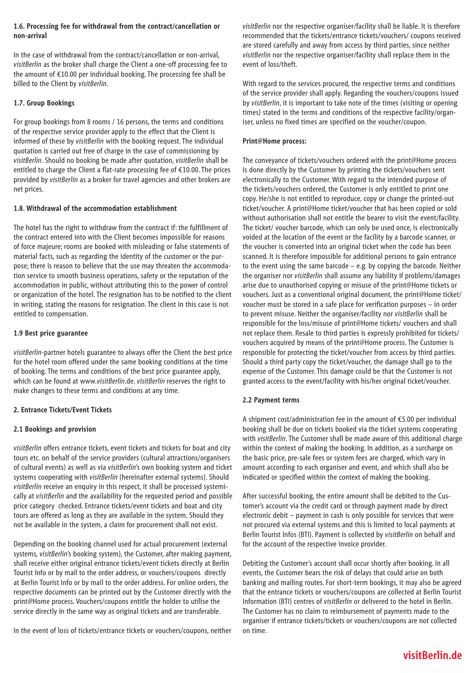# **1.6. Processing fee for withdrawal from the contract/cancellation or non-arrival**

In the case of withdrawal from the contract/cancellation or non-arrival, *visitBerlin* as the broker shall charge the Client a one-off processing fee to the amount of €10.00 per individual booking. The processing fee shall be billed to the Client by *visitBerlin*.

# **1.7. Group Bookings**

For group bookings from 8 rooms / 16 persons, the terms and conditions of the respective service provider apply to the effect that the Client is informed of these by *visitBerlin* with the booking request. The individual quotation is carried out free of charge in the case of commissioning by *visitBerlin*. Should no booking be made after quotation, *visitBerlin* shall be entitled to charge the Client a flat-rate processing fee of €10.00. The prices provided by *visitBerlin* as a broker for travel agencies and other brokers are net prices.

# **1.8. Withdrawal of the accommodation establishment**

The hotel has the right to withdraw from the contract if: the fulfillment of the contract entered into with the Client becomes impossible for reasons of force majeure; rooms are booked with misleading or false statements of material facts, such as regarding the identity of the customer or the purpose; there is reason to believe that the use may threaten the accommodation service to smooth business operations, safety or the reputation of the accommodation in public, without attributing this to the power of control or organization of the hotel. The resignation has to be notified to the client in writing, stating the reasons for resignation. The client in this case is not entitled to compensation.

#### **1.9 Best price guarantee**

*visitBerlin*-partner hotels guarantee to always offer the Client the best price for the hotel room offered under the same booking conditions at the time of booking. The terms and conditions of the best price guarantee apply, which can be found at www.*visitBerlin*.de. *visitBerlin* reserves the right to make changes to these terms and conditions at any time.

# **2. Entrance Tickets/Event Tickets**

# **2.1 Bookings and provision**

*visitBerlin* offers entrance tickets, event tickets and tickets for boat and city tours etc. on behalf of the service providers (cultural attractions/organisers of cultural events) as well as via *visitBerlin*'s own booking system and ticket systems cooperating with *visitBerlin* (hereinafter external systems). Should *visitBerlin* receive an enquiry in this respect, it shall be processed systemically at *visitBerlin* and the availability for the requested period and possible price category checked. Entrance tickets/event tickets and boat and city tours are offered as long as they are available in the system. Should they not be available in the system, a claim for procurement shall not exist.

Depending on the booking channel used for actual procurement (external systems, *visitBerlin*'s booking system), the Customer, after making payment, shall receive either original entrance tickets/event tickets directly at Berlin Tourist Info or by mail to the order address, or vouchers/coupons directly at Berlin Tourist Info or by mail to the order address. For online orders, the respective documents can be printed out by the Customer directly with the print@Home process. Vouchers/coupons entitle the holder to utilise the service directly in the same way as original tickets and are transferable.

In the event of loss of tickets/entrance tickets or vouchers/coupons, neither

*visitBerlin* nor the respective organiser/facility shall be liable. It is therefore recommended that the tickets/entrance tickets/vouchers/ coupons received are stored carefully and away from access by third parties, since neither *visitBerlin* nor the respective organiser/facility shall replace them in the event of loss/theft.

With regard to the services procured, the respective terms and conditions of the service provider shall apply. Regarding the vouchers/coupons issued by *visitBerlin*, it is important to take note of the times (visiting or opening times) stated in the terms and conditions of the respective facility/organiser, unless no fixed times are specified on the voucher/coupon.

#### **Print@Home process:**

The conveyance of tickets/vouchers ordered with the print@Home process is done directly by the Customer by printing the tickets/vouchers sent electronically to the Customer. With regard to the intended purpose of the tickets/vouchers ordered, the Customer is only entitled to print one copy. He/she is not entitled to reproduce, copy or change the printed-out ticket/voucher. A print@Home ticket/voucher that has been copied or sold without authorisation shall not entitle the bearer to visit the event/facility. The ticket/ voucher barcode, which can only be used once, is electronically voided at the location of the event or the facility by a barcode scanner, or the voucher is converted into an original ticket when the code has been scanned. It is therefore impossible for additional persons to gain entrance to the event using the same barcode – e.g. by copying the barcode. Neither the organiser nor *visitBerlin* shall assume any liability if problems/damages arise due to unauthorised copying or misuse of the print@Home tickets or vouchers. Just as a conventional original document, the print@Home ticket/ voucher must be stored in a safe place for verification purposes – in order to prevent misuse. Neither the organiser/facility nor *visitBerlin* shall be responsible for the loss/misuse of print@Home tickets/ vouchers and shall not replace them. Resale to third parties is expressly prohibited for tickets/ vouchers acquired by means of the print@Home process. The Customer is responsible for protecting the ticket/voucher from access by third parties. Should a third party copy the ticket/voucher, the damage shall go to the expense of the Customer. This damage could be that the Customer is not granted access to the event/facility with his/her original ticket/voucher.

#### **2.2 Payment terms**

A shipment cost/administration fee in the amount of €5.00 per individual booking shall be due on tickets booked via the ticket systems cooperating with *visitBerlin*. The Customer shall be made aware of this additional charge within the context of making the booking. In addition, as a surcharge on the basic price, pre-sale fees or system fees are charged, which vary in amount according to each organiser and event, and which shall also be indicated or specified within the context of making the booking.

After successful booking, the entire amount shall be debited to the Customer's account via the credit card or through payment made by direct electronic debit – payment in cash is only possible for services that were not procured via external systems and this is limited to local payments at Berlin Tourist Infos (BTI). Payment is collected by *visitBerlin* on behalf and for the account of the respective invoice provider.

Debiting the Customer's account shall occur shortly after booking. In all events, the Customer bears the risk of delays that could arise on both banking and mailing routes. For short-term bookings, it may also be agreed that the entrance tickets or vouchers/coupons are collected at Berlin Tourist Information (BTI) centres of *visitBerlin* or delivered to the hotel in Berlin. The Customer has no claim to reimbursement of payments made to the organiser if entrance tickets/tickets or vouchers/coupons are not collected on time.